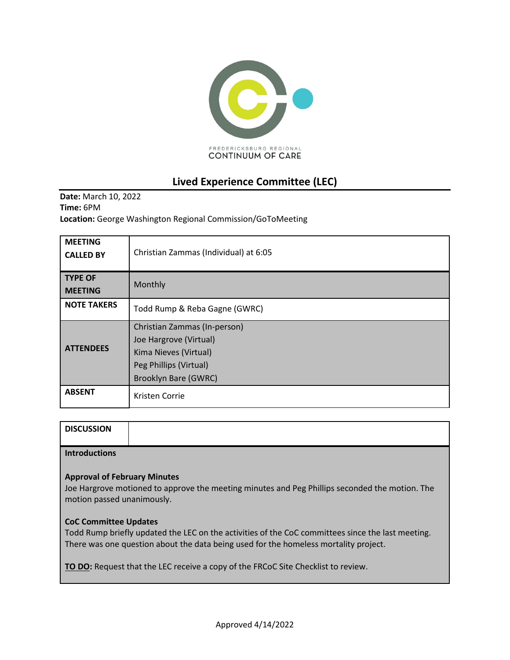

# **Lived Experience Committee (LEC)**

**Date:** March 10, 2022 **Time:** 6PM **Location:** George Washington Regional Commission/GoToMeeting

| <b>MEETING</b><br><b>CALLED BY</b> | Christian Zammas (Individual) at 6:05                                                                                             |
|------------------------------------|-----------------------------------------------------------------------------------------------------------------------------------|
| <b>TYPE OF</b><br><b>MEETING</b>   | Monthly                                                                                                                           |
| <b>NOTE TAKERS</b>                 | Todd Rump & Reba Gagne (GWRC)                                                                                                     |
| <b>ATTENDEES</b>                   | Christian Zammas (In-person)<br>Joe Hargrove (Virtual)<br>Kima Nieves (Virtual)<br>Peg Phillips (Virtual)<br>Brooklyn Bare (GWRC) |
| <b>ABSENT</b>                      | Kristen Corrie                                                                                                                    |

| <b>DISCUSSION</b> |  |
|-------------------|--|
|                   |  |
|                   |  |

**Introductions**

#### **Approval of February Minutes**

Joe Hargrove motioned to approve the meeting minutes and Peg Phillips seconded the motion. The motion passed unanimously.

#### **CoC Committee Updates**

Todd Rump briefly updated the LEC on the activities of the CoC committees since the last meeting. There was one question about the data being used for the homeless mortality project.

**TO DO:** Request that the LEC receive a copy of the FRCoC Site Checklist to review.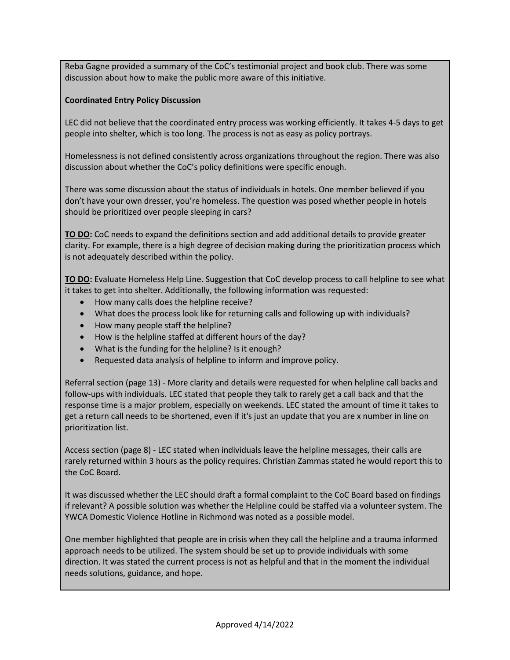Reba Gagne provided a summary of the CoC's testimonial project and book club. There was some discussion about how to make the public more aware of this initiative.

### **Coordinated Entry Policy Discussion**

LEC did not believe that the coordinated entry process was working efficiently. It takes 4-5 days to get people into shelter, which is too long. The process is not as easy as policy portrays.

Homelessness is not defined consistently across organizations throughout the region. There was also discussion about whether the CoC's policy definitions were specific enough.

There was some discussion about the status of individuals in hotels. One member believed if you don't have your own dresser, you're homeless. The question was posed whether people in hotels should be prioritized over people sleeping in cars?

**TO DO:** CoC needs to expand the definitions section and add additional details to provide greater clarity. For example, there is a high degree of decision making during the prioritization process which is not adequately described within the policy.

**TO DO:** Evaluate Homeless Help Line. Suggestion that CoC develop process to call helpline to see what it takes to get into shelter. Additionally, the following information was requested:

- How many calls does the helpline receive?
- What does the process look like for returning calls and following up with individuals?
- How many people staff the helpline?
- How is the helpline staffed at different hours of the day?
- What is the funding for the helpline? Is it enough?
- Requested data analysis of helpline to inform and improve policy.

Referral section (page 13) - More clarity and details were requested for when helpline call backs and follow-ups with individuals. LEC stated that people they talk to rarely get a call back and that the response time is a major problem, especially on weekends. LEC stated the amount of time it takes to get a return call needs to be shortened, even if it's just an update that you are x number in line on prioritization list.

Access section (page 8) - LEC stated when individuals leave the helpline messages, their calls are rarely returned within 3 hours as the policy requires. Christian Zammas stated he would report this to the CoC Board.

It was discussed whether the LEC should draft a formal complaint to the CoC Board based on findings if relevant? A possible solution was whether the Helpline could be staffed via a volunteer system. The YWCA Domestic Violence Hotline in Richmond was noted as a possible model.

One member highlighted that people are in crisis when they call the helpline and a trauma informed approach needs to be utilized. The system should be set up to provide individuals with some direction. It was stated the current process is not as helpful and that in the moment the individual needs solutions, guidance, and hope.